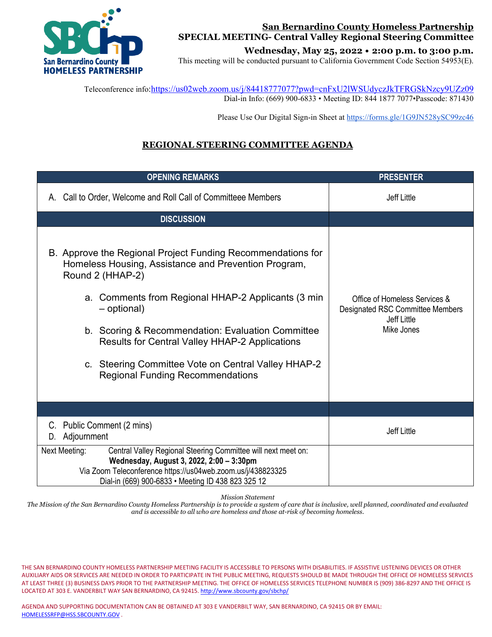

## **San Bernardino County Homeless Partnership SPECIAL MEETING- Central Valley Regional Steering Committee**

**Wednesday, May 25, 2022 • 2:00 p.m. to 3:00 p.m.**

This meeting will be conducted pursuant to California Government Code Section 54953(E).

 Teleconference info[:https://us02web.zoom.us/j/84418777077?pwd=cnFxU2lWSUdyczJkTFRGSkNzcy9UZz09](https://us02web.zoom.us/j/84418777077?pwd=cnFxU2lWSUdyczJkTFRGSkNzcy9UZz09) Dial-in Info: (669) 900-6833 • Meeting ID: 844 1877 7077•Passcode: 871430

Please Use Our Digital Sign-in Sheet a[t https://forms.gle/1G9JN528ySC99zc46](https://forms.gle/1G9JN528ySC99zc46)

# **REGIONAL STEERING COMMITTEE AGENDA**

| <b>OPENING REMARKS</b>                                                                                                                                                                                                                                                                                                                                                                                                        | <b>PRESENTER</b>                                                                                      |  |  |  |
|-------------------------------------------------------------------------------------------------------------------------------------------------------------------------------------------------------------------------------------------------------------------------------------------------------------------------------------------------------------------------------------------------------------------------------|-------------------------------------------------------------------------------------------------------|--|--|--|
| A. Call to Order, Welcome and Roll Call of Committeee Members                                                                                                                                                                                                                                                                                                                                                                 | <b>Jeff Little</b>                                                                                    |  |  |  |
| <b>DISCUSSION</b>                                                                                                                                                                                                                                                                                                                                                                                                             |                                                                                                       |  |  |  |
| B. Approve the Regional Project Funding Recommendations for<br>Homeless Housing, Assistance and Prevention Program,<br>Round 2 (HHAP-2)<br>a. Comments from Regional HHAP-2 Applicants (3 min)<br>- optional)<br>b. Scoring & Recommendation: Evaluation Committee<br><b>Results for Central Valley HHAP-2 Applications</b><br>c. Steering Committee Vote on Central Valley HHAP-2<br><b>Regional Funding Recommendations</b> | Office of Homeless Services &<br>Designated RSC Committee Members<br><b>Jeff Little</b><br>Mike Jones |  |  |  |
|                                                                                                                                                                                                                                                                                                                                                                                                                               |                                                                                                       |  |  |  |
| Public Comment (2 mins)<br>C.<br>Adjournment<br>D.                                                                                                                                                                                                                                                                                                                                                                            | <b>Jeff Little</b>                                                                                    |  |  |  |
| Central Valley Regional Steering Committee will next meet on:<br>Next Meeting:<br>Wednesday, August 3, 2022, 2:00 - 3:30pm<br>Via Zoom Teleconference https://us04web.zoom.us/j/438823325<br>Dial-in (669) 900-6833 • Meeting ID 438 823 325 12                                                                                                                                                                               |                                                                                                       |  |  |  |

*Mission Statement*

*The Mission of the San Bernardino County Homeless Partnership is to provide a system of care that is inclusive, well planned, coordinated and evaluated and is accessible to all who are homeless and those at-risk of becoming homeless.*

THE SAN BERNARDINO COUNTY HOMELESS PARTNERSHIP MEETING FACILITY IS ACCESSIBLE TO PERSONS WITH DISABILITIES. IF ASSISTIVE LISTENING DEVICES OR OTHER AUXILIARY AIDS OR SERVICES ARE NEEDED IN ORDER TO PARTICIPATE IN THE PUBLIC MEETING, REQUESTS SHOULD BE MADE THROUGH THE OFFICE OF HOMELESS SERVICES AT LEAST THREE (3) BUSINESS DAYS PRIOR TO THE PARTNERSHIP MEETING. THE OFFICE OF HOMELESS SERVICES TELEPHONE NUMBER IS (909) 386-8297 AND THE OFFICE IS LOCATED AT 303 E. VANDERBILT WAY SAN BERNARDINO, CA 92415[. http://www.sbcounty.gov/sbchp/](http://www.sbcounty.gov/sbchp/)

AGENDA AND SUPPORTING DOCUMENTATION CAN BE OBTAINED AT 303 E VANDERBILT WAY, SAN BERNARDINO, CA 92415 OR BY EMAIL: [HOMELESSRFP@HSS.SBCOUNTY.GOV](mailto:HOMELESSRFP@HSS.SBCOUNTY.GOV) .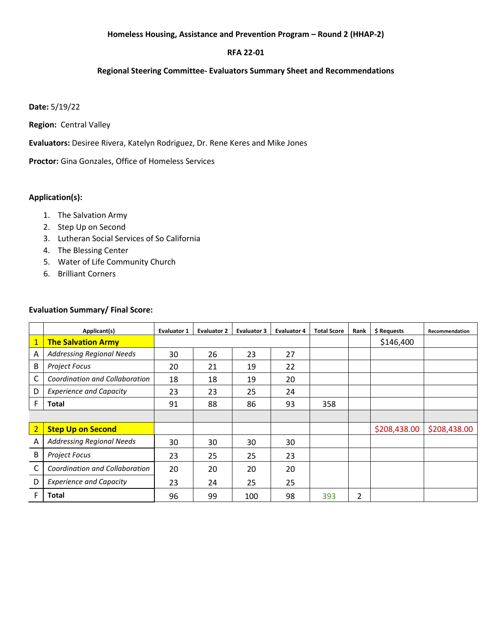#### **Homeless Housing, Assistance and Prevention Program – Round 2 (HHAP-2)**

## **RFA 22-01**

#### **Regional Steering Committee- Evaluators Summary Sheet and Recommendations**

#### **Date:** 5/19/22

**Region:** Central Valley

**Evaluators:** Desiree Rivera, Katelyn Rodriguez, Dr. Rene Keres and Mike Jones

**Proctor:** Gina Gonzales, Office of Homeless Services

## **Application(s):**

- 1. The Salvation Army
- 2. Step Up on Second
- 3. Lutheran Social Services of So California
- 4. The Blessing Center
- 5. Water of Life Community Church
- 6. Brilliant Corners

#### **Evaluation Summary/ Final Score:**

|                | Applicant(s)                     | <b>Evaluator 1</b> | <b>Evaluator 2</b> | <b>Evaluator 3</b> | <b>Evaluator 4</b> | <b>Total Score</b> | Rank | \$ Requests  | Recommendation |
|----------------|----------------------------------|--------------------|--------------------|--------------------|--------------------|--------------------|------|--------------|----------------|
| $\mathbf{1}$   | <b>The Salvation Army</b>        |                    |                    |                    |                    |                    |      | \$146,400    |                |
| A              | <b>Addressing Regional Needs</b> | 30                 | 26                 | 23                 | 27                 |                    |      |              |                |
| B              | <b>Project Focus</b>             | 20                 | 21                 | 19                 | 22                 |                    |      |              |                |
| C              | Coordination and Collaboration   | 18                 | 18                 | 19                 | 20                 |                    |      |              |                |
| D              | <b>Experience and Capacity</b>   | 23                 | 23                 | 25                 | 24                 |                    |      |              |                |
| F              | Total                            | 91                 | 88                 | 86                 | 93                 | 358                |      |              |                |
|                |                                  |                    |                    |                    |                    |                    |      |              |                |
| $\overline{2}$ | <b>Step Up on Second</b>         |                    |                    |                    |                    |                    |      | \$208,438.00 | \$208,438.00   |
| Α              | <b>Addressing Regional Needs</b> | 30                 | 30                 | 30                 | 30                 |                    |      |              |                |
| B              | <b>Project Focus</b>             | 23                 | 25                 | 25                 | 23                 |                    |      |              |                |
| C              | Coordination and Collaboration   | 20                 | 20                 | 20                 | 20                 |                    |      |              |                |
| D              | <b>Experience and Capacity</b>   | 23                 | 24                 | 25                 | 25                 |                    |      |              |                |
| F              | Total                            | 96                 | 99                 | 100                | 98                 | 393                | 2    |              |                |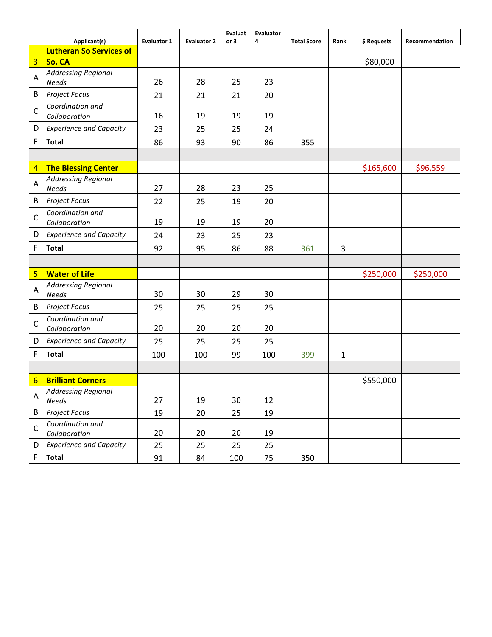|                 | Applicant(s)                               | <b>Evaluator 1</b> | <b>Evaluator 2</b> | <b>Evaluat</b><br>or 3 | Evaluator<br>4 | <b>Total Score</b> | Rank         | \$ Requests | Recommendation |
|-----------------|--------------------------------------------|--------------------|--------------------|------------------------|----------------|--------------------|--------------|-------------|----------------|
|                 | <b>Lutheran So Services of</b>             |                    |                    |                        |                |                    |              |             |                |
| $\overline{3}$  | So. CA                                     |                    |                    |                        |                |                    |              | \$80,000    |                |
| A               | <b>Addressing Regional</b>                 |                    |                    |                        |                |                    |              |             |                |
|                 | <b>Needs</b>                               | 26                 | 28                 | 25                     | 23             |                    |              |             |                |
| B               | Project Focus                              | 21                 | 21                 | 21                     | 20             |                    |              |             |                |
| $\mathsf{C}$    | Coordination and<br>Collaboration          | 16                 | 19                 | 19                     | 19             |                    |              |             |                |
| D               | <b>Experience and Capacity</b>             | 23                 | 25                 | 25                     | 24             |                    |              |             |                |
| F               | <b>Total</b>                               | 86                 | 93                 | 90                     | 86             | 355                |              |             |                |
|                 |                                            |                    |                    |                        |                |                    |              |             |                |
| $\overline{4}$  | <b>The Blessing Center</b>                 |                    |                    |                        |                |                    |              | \$165,600   | \$96,559       |
| A               | <b>Addressing Regional</b><br><b>Needs</b> | 27                 | 28                 | 23                     | 25             |                    |              |             |                |
| B               | Project Focus                              | 22                 | 25                 | 19                     | 20             |                    |              |             |                |
| $\mathsf{C}$    | Coordination and<br>Collaboration          | 19                 | 19                 | 19                     | 20             |                    |              |             |                |
| D               | <b>Experience and Capacity</b>             | 24                 | 23                 | 25                     | 23             |                    |              |             |                |
| F               | <b>Total</b>                               | 92                 | 95                 | 86                     | 88             | 361                | 3            |             |                |
|                 |                                            |                    |                    |                        |                |                    |              |             |                |
| $5\phantom{a}$  | <b>Water of Life</b>                       |                    |                    |                        |                |                    |              | \$250,000   | \$250,000      |
| Α               | <b>Addressing Regional</b><br><b>Needs</b> | 30                 | 30                 | 29                     | 30             |                    |              |             |                |
| B               | Project Focus                              | 25                 | 25                 | 25                     | 25             |                    |              |             |                |
| $\mathsf{C}$    | Coordination and<br>Collaboration          | 20                 | 20                 | 20                     | 20             |                    |              |             |                |
| D               | <b>Experience and Capacity</b>             |                    |                    |                        |                |                    |              |             |                |
|                 |                                            | 25                 | 25                 | 25                     | 25             |                    |              |             |                |
| F               | <b>Total</b>                               | 100                | 100                | 99                     | 100            | 399                | $\mathbf{1}$ |             |                |
|                 |                                            |                    |                    |                        |                |                    |              |             |                |
| $6\phantom{1}6$ | <b>Brilliant Corners</b>                   |                    |                    |                        |                |                    |              | \$550,000   |                |
| Α               | <b>Addressing Regional</b><br><b>Needs</b> | 27                 | 19                 | 30                     | 12             |                    |              |             |                |
| B               | Project Focus                              | 19                 | 20                 | 25                     | 19             |                    |              |             |                |
| C               | Coordination and<br>Collaboration          | 20                 | 20                 | 20                     | 19             |                    |              |             |                |
| D               | <b>Experience and Capacity</b>             | 25                 | 25                 | 25                     | 25             |                    |              |             |                |
| F               | <b>Total</b>                               | 91                 | 84                 | 100                    | 75             | 350                |              |             |                |